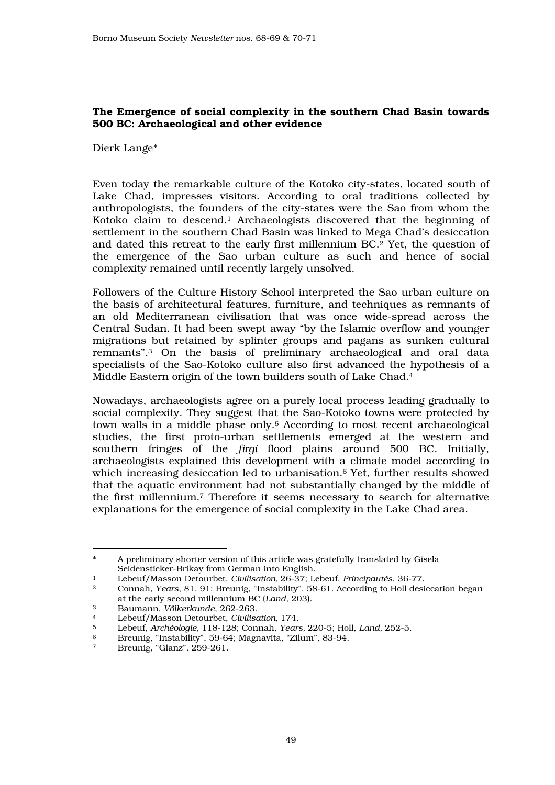# The Emergence of social complexity in the southern Chad Basin towards 500 BC: Archaeological and other evidence

Dierk Lange\*

Even today the remarkable culture of the Kotoko city-states, located south of Lake Chad, impresses visitors. According to oral traditions collected by anthropologists, the founders of the city-states were the Sao from whom the Kotoko claim to descend.1 Archaeologists discovered that the beginning of settlement in the southern Chad Basin was linked to Mega Chad's desiccation and dated this retreat to the early first millennium BC.2 Yet, the question of the emergence of the Sao urban culture as such and hence of social complexity remained until recently largely unsolved.

Followers of the Culture History School interpreted the Sao urban culture on the basis of architectural features, furniture, and techniques as remnants of an old Mediterranean civilisation that was once wide-spread across the Central Sudan. It had been swept away "by the Islamic overflow and younger migrations but retained by splinter groups and pagans as sunken cultural remnants".3 On the basis of preliminary archaeological and oral data specialists of the Sao-Kotoko culture also first advanced the hypothesis of a Middle Eastern origin of the town builders south of Lake Chad.<sup>4</sup>

Nowadays, archaeologists agree on a purely local process leading gradually to social complexity. They suggest that the Sao-Kotoko towns were protected by town walls in a middle phase only.5 According to most recent archaeological studies, the first proto-urban settlements emerged at the western and southern fringes of the *firgi* flood plains around 500 BC. Initially, archaeologists explained this development with a climate model according to which increasing desiccation led to urbanisation.6 Yet, further results showed that the aquatic environment had not substantially changed by the middle of the first millennium.7 Therefore it seems necessary to search for alternative explanations for the emergence of social complexity in the Lake Chad area.

 $\overline{a}$ A preliminary shorter version of this article was gratefully translated by Gisela Seidensticker-Brikay from German into English.

<sup>1</sup> Lebeuf/Masson Detourbet, *Civilisation,* 26-37; Lebeuf, *Principautés*, 36-77.

<sup>2</sup> Connah, *Years*, 81, 91; Breunig, "Instability", 58-61. According to Holl desiccation began at the early second millennium BC (*Land*, 203).<br>Baumann *Völkerkunde* 262-263

<sup>3</sup> Baumann, *Völkerkunde*, 262-263.

<sup>4</sup> Lebeuf/Masson Detourbet, *Civilisation,* 174.

<sup>5</sup> Lebeuf, *Archéologie*, 118-128; Connah, *Years,* 220-5; Holl, *Land,* 252-5.

<sup>6</sup> Breunig, "Instability", 59-64; Magnavita, "Zilum", 83-94.

Breunig, "Glanz", 259-261.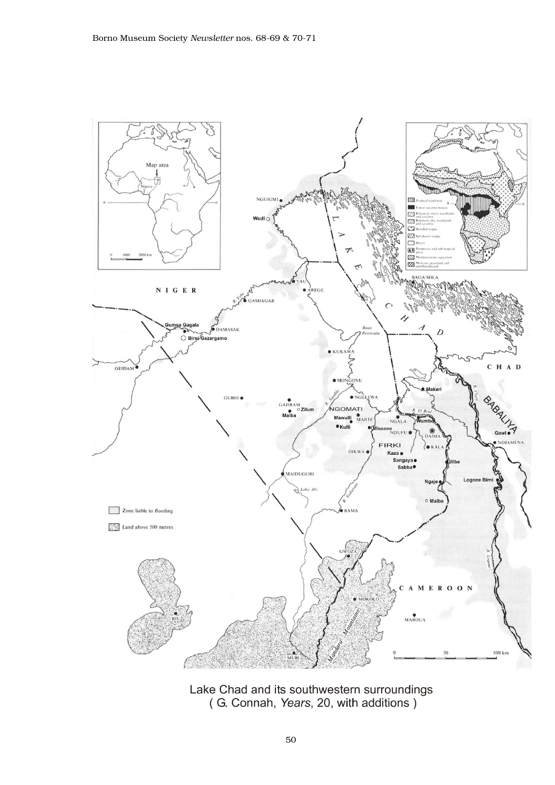

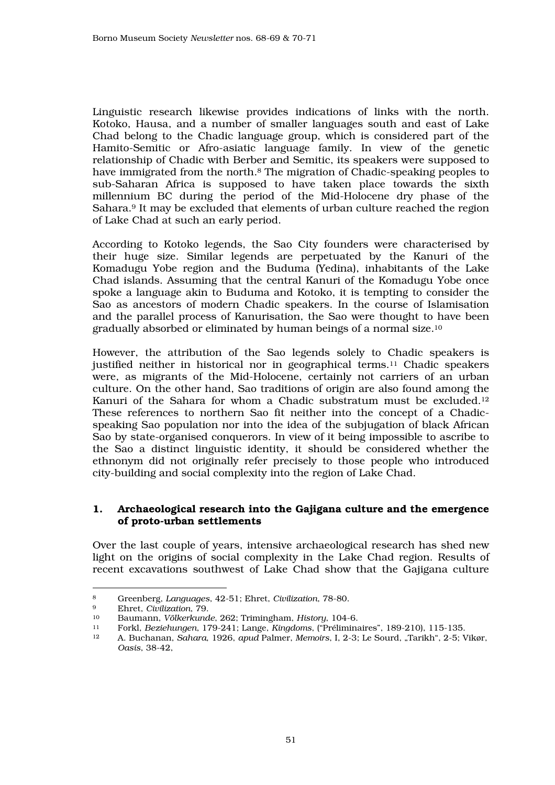Linguistic research likewise provides indications of links with the north. Kotoko, Hausa, and a number of smaller languages south and east of Lake Chad belong to the Chadic language group, which is considered part of the Hamito-Semitic or Afro-asiatic language family. In view of the genetic relationship of Chadic with Berber and Semitic, its speakers were supposed to have immigrated from the north.8 The migration of Chadic-speaking peoples to sub-Saharan Africa is supposed to have taken place towards the sixth millennium BC during the period of the Mid-Holocene dry phase of the Sahara.9 It may be excluded that elements of urban culture reached the region of Lake Chad at such an early period.

According to Kotoko legends, the Sao City founders were characterised by their huge size. Similar legends are perpetuated by the Kanuri of the Komadugu Yobe region and the Buduma (Yedina), inhabitants of the Lake Chad islands. Assuming that the central Kanuri of the Komadugu Yobe once spoke a language akin to Buduma and Kotoko, it is tempting to consider the Sao as ancestors of modern Chadic speakers. In the course of Islamisation and the parallel process of Kanurisation, the Sao were thought to have been gradually absorbed or eliminated by human beings of a normal size.<sup>10</sup>

However, the attribution of the Sao legends solely to Chadic speakers is justified neither in historical nor in geographical terms.11 Chadic speakers were, as migrants of the Mid-Holocene, certainly not carriers of an urban culture. On the other hand, Sao traditions of origin are also found among the Kanuri of the Sahara for whom a Chadic substratum must be excluded.<sup>12</sup> These references to northern Sao fit neither into the concept of a Chadicspeaking Sao population nor into the idea of the subjugation of black African Sao by state-organised conquerors. In view of it being impossible to ascribe to the Sao a distinct linguistic identity, it should be considered whether the ethnonym did not originally refer precisely to those people who introduced city-building and social complexity into the region of Lake Chad.

### 1. Archaeological research into the Gajigana culture and the emergence of proto-urban settlements

Over the last couple of years, intensive archaeological research has shed new light on the origins of social complexity in the Lake Chad region. Results of recent excavations southwest of Lake Chad show that the Gajigana culture

 $\overline{a}$ <sup>8</sup> Greenberg, *Languages*, 42-51; Ehret, *Civilization*, 78-80.

<sup>9</sup> Ehret, *Civilization*, 79.

<sup>10</sup> Baumann, *Völkerkunde*, 262; Trimingham, *History*, 104-6.

<sup>11</sup> Forkl, *Beziehungen*, 179-241; Lange, *Kingdoms*, ("Préliminaires", 189-210), 115-135.

<sup>12</sup> A. Buchanan, *Sahara*, 1926, *apud* Palmer, *Memoirs*, I, 2-3; Le Sourd, "Tarikh", 2-5; Vikør, *Oasis*, 38-42,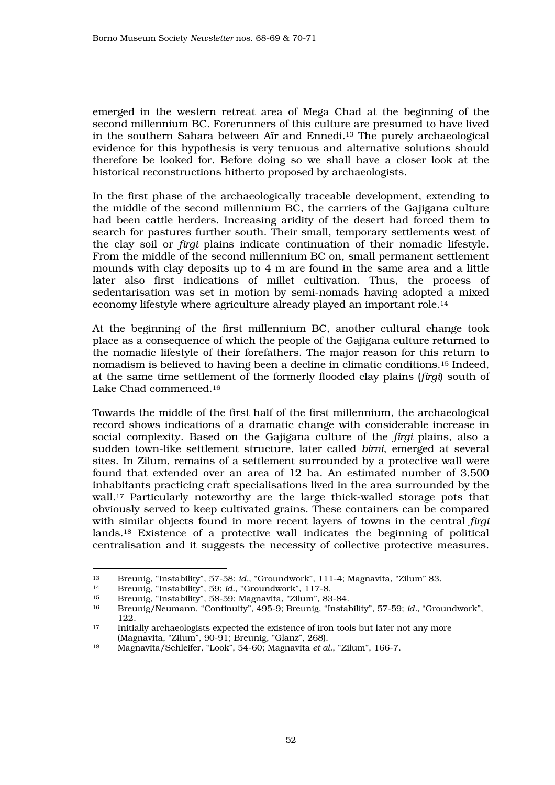emerged in the western retreat area of Mega Chad at the beginning of the second millennium BC. Forerunners of this culture are presumed to have lived in the southern Sahara between Aïr and Ennedi.13 The purely archaeological evidence for this hypothesis is very tenuous and alternative solutions should therefore be looked for. Before doing so we shall have a closer look at the historical reconstructions hitherto proposed by archaeologists.

In the first phase of the archaeologically traceable development, extending to the middle of the second millennium BC, the carriers of the Gajigana culture had been cattle herders. Increasing aridity of the desert had forced them to search for pastures further south. Their small, temporary settlements west of the clay soil or *firgi* plains indicate continuation of their nomadic lifestyle. From the middle of the second millennium BC on, small permanent settlement mounds with clay deposits up to 4 m are found in the same area and a little later also first indications of millet cultivation. Thus, the process of sedentarisation was set in motion by semi-nomads having adopted a mixed economy lifestyle where agriculture already played an important role.<sup>14</sup>

At the beginning of the first millennium BC, another cultural change took place as a consequence of which the people of the Gajigana culture returned to the nomadic lifestyle of their forefathers. The major reason for this return to nomadism is believed to having been a decline in climatic conditions.15 Indeed, at the same time settlement of the formerly flooded clay plains (*firgi*) south of Lake Chad commenced.<sup>16</sup>

Towards the middle of the first half of the first millennium, the archaeological record shows indications of a dramatic change with considerable increase in social complexity. Based on the Gajigana culture of the *firgi* plains, also a sudden town-like settlement structure, later called *birni*, emerged at several sites. In Zilum, remains of a settlement surrounded by a protective wall were found that extended over an area of 12 ha. An estimated number of 3,500 inhabitants practicing craft specialisations lived in the area surrounded by the wall.17 Particularly noteworthy are the large thick-walled storage pots that obviously served to keep cultivated grains. These containers can be compared with similar objects found in more recent layers of towns in the central *firgi* lands.18 Existence of a protective wall indicates the beginning of political centralisation and it suggests the necessity of collective protective measures.

 $\overline{a}$ <sup>13</sup> Breunig, "Instability", 57-58; *id.*, "Groundwork", 111-4; Magnavita, "Zilum" 83.

<sup>14</sup> Breunig, "Instability", 59; *id.*, "Groundwork", 117-8.

<sup>15</sup> Breunig, "Instability", 58-59; Magnavita, "Zilum", 83-84.

<sup>16</sup> Breunig/Neumann, "Continuity", 495-9; Breunig, "Instability", 57-59; *id.,* "Groundwork",  $\frac{122}{17}$ 

<sup>17</sup> Initially archaeologists expected the existence of iron tools but later not any more (Magnavita, "Zilum", 90-91; Breunig, "Glanz", 268).

<sup>18</sup> Magnavita/Schleifer, "Look", 54-60; Magnavita *et al.*, "Zilum", 166-7.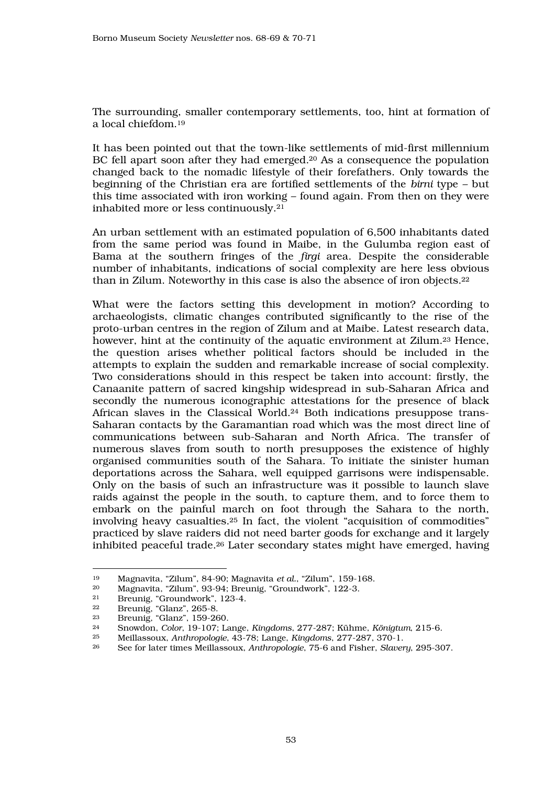The surrounding, smaller contemporary settlements, too, hint at formation of a local chiefdom.<sup>19</sup>

It has been pointed out that the town-like settlements of mid-first millennium BC fell apart soon after they had emerged.<sup>20</sup> As a consequence the population changed back to the nomadic lifestyle of their forefathers. Only towards the beginning of the Christian era are fortified settlements of the *birni* type – but this time associated with iron working – found again. From then on they were inhabited more or less continuously.<sup>21</sup>

An urban settlement with an estimated population of 6,500 inhabitants dated from the same period was found in Maibe, in the Gulumba region east of Bama at the southern fringes of the *firgi* area. Despite the considerable number of inhabitants, indications of social complexity are here less obvious than in Zilum. Noteworthy in this case is also the absence of iron objects.<sup>22</sup>

What were the factors setting this development in motion? According to archaeologists, climatic changes contributed significantly to the rise of the proto-urban centres in the region of Zilum and at Maibe. Latest research data, however, hint at the continuity of the aquatic environment at Zilum.23 Hence, the question arises whether political factors should be included in the attempts to explain the sudden and remarkable increase of social complexity. Two considerations should in this respect be taken into account: firstly, the Canaanite pattern of sacred kingship widespread in sub-Saharan Africa and secondly the numerous iconographic attestations for the presence of black African slaves in the Classical World.24 Both indications presuppose trans-Saharan contacts by the Garamantian road which was the most direct line of communications between sub-Saharan and North Africa. The transfer of numerous slaves from south to north presupposes the existence of highly organised communities south of the Sahara. To initiate the sinister human deportations across the Sahara, well equipped garrisons were indispensable. Only on the basis of such an infrastructure was it possible to launch slave raids against the people in the south, to capture them, and to force them to embark on the painful march on foot through the Sahara to the north, involving heavy casualties.25 In fact, the violent "acquisition of commodities" practiced by slave raiders did not need barter goods for exchange and it largely inhibited peaceful trade.26 Later secondary states might have emerged, having

 $\overline{a}$ <sup>19</sup> Magnavita, "Zilum", 84-90; Magnavita *et al.*, "Zilum", 159-168.

<sup>20</sup> Magnavita, "Zilum", 93-94; Breunig, "Groundwork", 122-3.

<sup>&</sup>lt;sup>21</sup> Breunig, "Groundwork", 123-4.<br><sup>22</sup> Breunig "Glanz", 265-8.

 $\frac{22}{23}$  Breunig, "Glanz", 265-8.<br> $\frac{23}{23}$  Breunig, "Glanz", 159-26

<sup>&</sup>lt;sup>23</sup> Breunig, "Glanz", 159-260.<br><sup>24</sup> Spowden, Celer, 10, 107: Le

<sup>24</sup> Snowdon, *Color*, 19-107; Lange, *Kingdoms*, 277-287; Kühme, *Königtum*, 215-6.

<sup>25</sup> Meillassoux, *Anthropologie*, 43-78; Lange, *Kingdoms*, 277-287, 370-1.

<sup>26</sup> See for later times Meillassoux, *Anthropologie*, 75-6 and Fisher, *Slavery*, 295-307.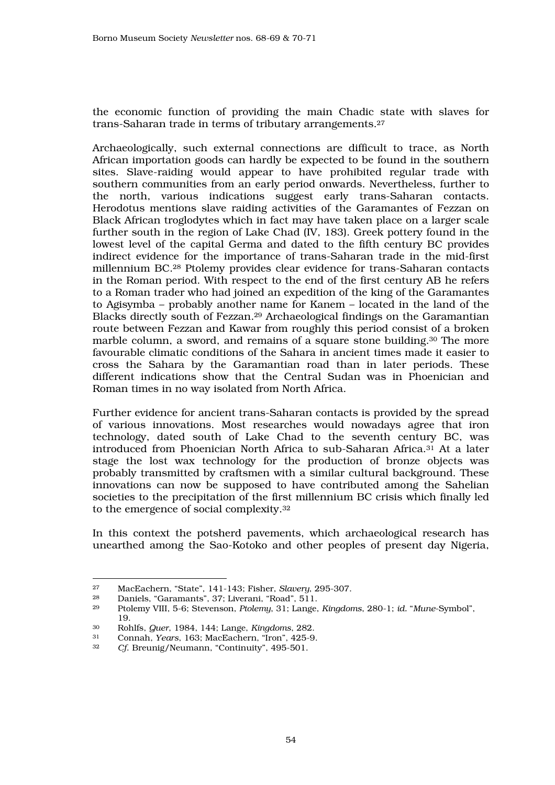the economic function of providing the main Chadic state with slaves for trans-Saharan trade in terms of tributary arrangements.<sup>27</sup>

Archaeologically, such external connections are difficult to trace, as North African importation goods can hardly be expected to be found in the southern sites. Slave-raiding would appear to have prohibited regular trade with southern communities from an early period onwards. Nevertheless, further to the north, various indications suggest early trans-Saharan contacts. Herodotus mentions slave raiding activities of the Garamantes of Fezzan on Black African troglodytes which in fact may have taken place on a larger scale further south in the region of Lake Chad (IV, 183). Greek pottery found in the lowest level of the capital Germa and dated to the fifth century BC provides indirect evidence for the importance of trans-Saharan trade in the mid-first millennium BC.28 Ptolemy provides clear evidence for trans-Saharan contacts in the Roman period. With respect to the end of the first century AB he refers to a Roman trader who had joined an expedition of the king of the Garamantes to Agisymba – probably another name for Kanem – located in the land of the Blacks directly south of Fezzan.29 Archaeological findings on the Garamantian route between Fezzan and Kawar from roughly this period consist of a broken marble column, a sword, and remains of a square stone building.30 The more favourable climatic conditions of the Sahara in ancient times made it easier to cross the Sahara by the Garamantian road than in later periods. These different indications show that the Central Sudan was in Phoenician and Roman times in no way isolated from North Africa.

Further evidence for ancient trans-Saharan contacts is provided by the spread of various innovations. Most researches would nowadays agree that iron technology, dated south of Lake Chad to the seventh century BC, was introduced from Phoenician North Africa to sub-Saharan Africa.31 At a later stage the lost wax technology for the production of bronze objects was probably transmitted by craftsmen with a similar cultural background. These innovations can now be supposed to have contributed among the Sahelian societies to the precipitation of the first millennium BC crisis which finally led to the emergence of social complexity.<sup>32</sup>

In this context the potsherd pavements, which archaeological research has unearthed among the Sao-Kotoko and other peoples of present day Nigeria,

<sup>27</sup> MacEachern, "State", 141-143; Fisher, *Slavery*, 295-307.

<sup>&</sup>lt;sup>28</sup> Daniels, "Garamants", 37; Liverani, "Road", 511.<br><sup>29</sup> Ptolemy VIII, 5-6; Stevenson, *Ptolemy*, 31; Lange

<sup>29</sup> Ptolemy VIII, 5-6; Stevenson, *Ptolemy*, 31; Lange, *Kingdoms*, 280-1; *id.* "*Mune*-Symbol",  $\frac{19}{30}$ 

<sup>30</sup> Rohlfs, *Quer*, 1984, 144; Lange, *Kingdoms*, 282.

<sup>31</sup> Connah, *Years*, 163; MacEachern, "Iron", 425-9.

Cf. Breunig/Neumann, "Continuity", 495-501.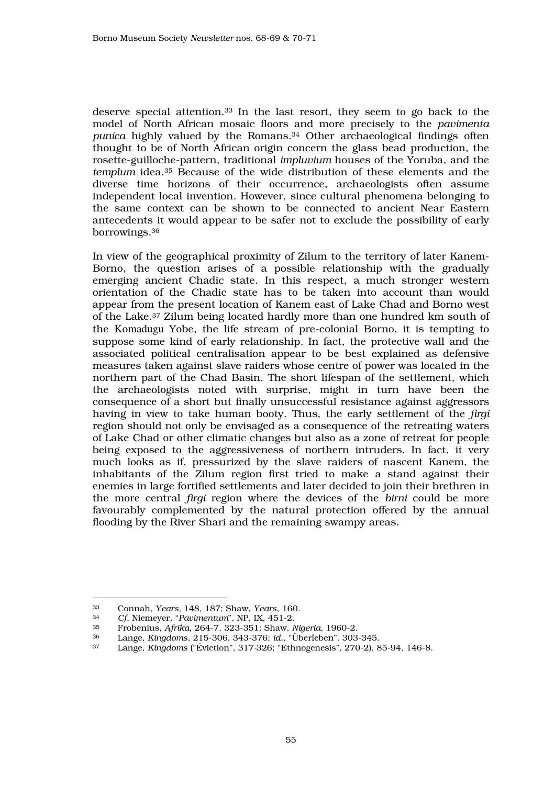deserve special attention.33 In the last resort, they seem to go back to the model of North African mosaic floors and more precisely to the *pavimenta punica* highly valued by the Romans.<sup>34</sup> Other archaeological findings often thought to be of North African origin concern the glass bead production, the rosette-guilloche-pattern, traditional *impluvium* houses of the Yoruba, and the *templum* idea.35 Because of the wide distribution of these elements and the diverse time horizons of their occurrence, archaeologists often assume independent local invention. However, since cultural phenomena belonging to the same context can be shown to be connected to ancient Near Eastern antecedents it would appear to be safer not to exclude the possibility of early borrowings.<sup>36</sup>

In view of the geographical proximity of Zilum to the territory of later Kanem-Borno, the question arises of a possible relationship with the gradually emerging ancient Chadic state. In this respect, a much stronger western orientation of the Chadic state has to be taken into account than would appear from the present location of Kanem east of Lake Chad and Borno west of the Lake.37 Zilum being located hardly more than one hundred km south of the Komadugu Yobe, the life stream of pre-colonial Borno, it is tempting to suppose some kind of early relationship. In fact, the protective wall and the associated political centralisation appear to be best explained as defensive measures taken against slave raiders whose centre of power was located in the northern part of the Chad Basin. The short lifespan of the settlement, which the archaeologists noted with surprise, might in turn have been the consequence of a short but finally unsuccessful resistance against aggressors having in view to take human booty. Thus, the early settlement of the *firgi* region should not only be envisaged as a consequence of the retreating waters of Lake Chad or other climatic changes but also as a zone of retreat for people being exposed to the aggressiveness of northern intruders. In fact, it very much looks as if, pressurized by the slave raiders of nascent Kanem, the inhabitants of the Zilum region first tried to make a stand against their enemies in large fortified settlements and later decided to join their brethren in the more central *firgi* region where the devices of the *birni* could be more favourably complemented by the natural protection offered by the annual flooding by the River Shari and the remaining swampy areas.

 $\overline{a}$ <sup>33</sup> Connah, *Years,* 148, 187; Shaw, *Years*, 160.

<sup>34</sup> *Cf.* Niemeyer, "*Pavimentum*", NP, IX, 451-2.

<sup>35</sup> Frobenius, *Afrika*, 264-7, 323-351; Shaw, *Nigeria*, 1960-2.

<sup>36</sup> Lange, *Kingdoms*, 215-306, 343-376; *id.*, "Überleben". 303-345.

<sup>37</sup> Lange, *Kingdoms* ("Éviction", 317*-*326; "Ethnogenesis", 270-2), 85-94, 146-8.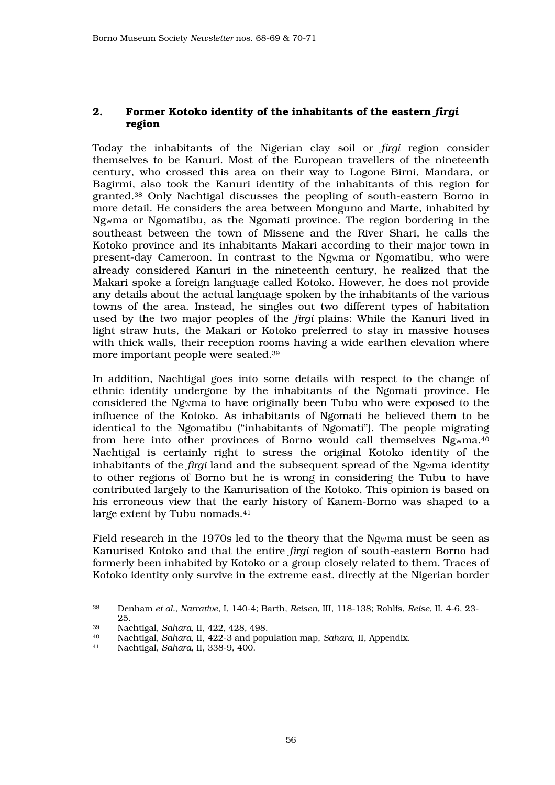# 2. Former Kotoko identity of the inhabitants of the eastern *firgi* region

Today the inhabitants of the Nigerian clay soil or *firgi* region consider themselves to be Kanuri. Most of the European travellers of the nineteenth century, who crossed this area on their way to Logone Birni, Mandara, or Bagirmi, also took the Kanuri identity of the inhabitants of this region for granted.38 Only Nachtigal discusses the peopling of south-eastern Borno in more detail. He considers the area between Monguno and Marte, inhabited by Ngwma or Ngomatibu, as the Ngomati province. The region bordering in the southeast between the town of Missene and the River Shari, he calls the Kotoko province and its inhabitants Makari according to their major town in present-day Cameroon. In contrast to the Ngwma or Ngomatibu, who were already considered Kanuri in the nineteenth century, he realized that the Makari spoke a foreign language called Kotoko. However, he does not provide any details about the actual language spoken by the inhabitants of the various towns of the area. Instead, he singles out two different types of habitation used by the two major peoples of the *firgi* plains: While the Kanuri lived in light straw huts, the Makari or Kotoko preferred to stay in massive houses with thick walls, their reception rooms having a wide earthen elevation where more important people were seated.<sup>39</sup>

In addition, Nachtigal goes into some details with respect to the change of ethnic identity undergone by the inhabitants of the Ngomati province. He considered the Ngwma to have originally been Tubu who were exposed to the influence of the Kotoko. As inhabitants of Ngomati he believed them to be identical to the Ngomatibu ("inhabitants of Ngomati"). The people migrating from here into other provinces of Borno would call themselves Ngwma.<sup>40</sup> Nachtigal is certainly right to stress the original Kotoko identity of the inhabitants of the *firgi* land and the subsequent spread of the Ngwma identity to other regions of Borno but he is wrong in considering the Tubu to have contributed largely to the Kanurisation of the Kotoko. This opinion is based on his erroneous view that the early history of Kanem-Borno was shaped to a large extent by Tubu nomads.<sup>41</sup>

Field research in the 1970s led to the theory that the Ngwma must be seen as Kanurised Kotoko and that the entire *firgi* region of south-eastern Borno had formerly been inhabited by Kotoko or a group closely related to them. Traces of Kotoko identity only survive in the extreme east, directly at the Nigerian border

<sup>38</sup> Denham *et al.*, *Narrative*, I, 140-4; Barth, *Reisen*, III, 118-138; Rohlfs, *Reise*, II, 4-6, 23  $rac{25}{x^{39}}$ 

<sup>39</sup> Nachtigal, *Sahara*, II, 422, 428, 498.

<sup>40</sup> Nachtigal, *Sahara*, II, 422-3 and population map, *Sahara*, II, Appendix.

<sup>41</sup> Nachtigal, *Sahara*, II, 338-9, 400.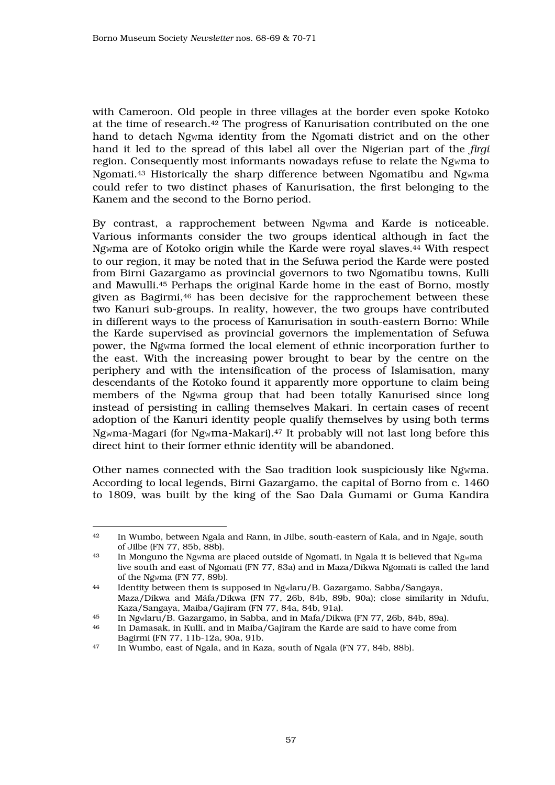with Cameroon. Old people in three villages at the border even spoke Kotoko at the time of research.42 The progress of Kanurisation contributed on the one hand to detach Ngwma identity from the Ngomati district and on the other hand it led to the spread of this label all over the Nigerian part of the *firgi* region. Consequently most informants nowadays refuse to relate the Ngwma to Ngomati.43 Historically the sharp difference between Ngomatibu and Ngwma could refer to two distinct phases of Kanurisation, the first belonging to the Kanem and the second to the Borno period.

By contrast, a rapprochement between Ngwma and Karde is noticeable. Various informants consider the two groups identical although in fact the Ngwma are of Kotoko origin while the Karde were royal slaves.44 With respect to our region, it may be noted that in the Sefuwa period the Karde were posted from Birni Gazargamo as provincial governors to two Ngomatibu towns, Kulli and Mawulli.45 Perhaps the original Karde home in the east of Borno, mostly given as Bagirmi,46 has been decisive for the rapprochement between these two Kanuri sub-groups. In reality, however, the two groups have contributed in different ways to the process of Kanurisation in south-eastern Borno: While the Karde supervised as provincial governors the implementation of Sefuwa power, the Ngwma formed the local element of ethnic incorporation further to the east. With the increasing power brought to bear by the centre on the periphery and with the intensification of the process of Islamisation, many descendants of the Kotoko found it apparently more opportune to claim being members of the Ngwma group that had been totally Kanurised since long instead of persisting in calling themselves Makari. In certain cases of recent adoption of the Kanuri identity people qualify themselves by using both terms Ngwma-Magari (for Ngwma-Makari).47 It probably will not last long before this direct hint to their former ethnic identity will be abandoned.

Other names connected with the Sao tradition look suspiciously like Ngwma. According to local legends, Birni Gazargamo, the capital of Borno from c. 1460 to 1809, was built by the king of the Sao Dala Gumami or Guma Kandira

 $\overline{a}$ <sup>42</sup> In Wumbo, between Ngala and Rann, in Jilbe, south-eastern of Kala, and in Ngaje, south of Jilbe (FN 77, 85b, 88b).<br><sup>43</sup> In Monguno the Nguma are

<sup>43</sup> In Monguno the Ngwma are placed outside of Ngomati, in Ngala it is believed that Ngwma live south and east of Ngomati (FN 77, 83a) and in Maza/Dikwa Ngomati is called the land of the Ngwma (FN 77, 89b).

<sup>44</sup> Identity between them is supposed in Ngwlaru/B. Gazargamo, Sabba/Sangaya, Maza/Dikwa and Máfa/Dikwa (FN 77, 26b, 84b, 89b, 90a); close similarity in Ndufu, Kaza/Sangaya, Maiba/Gajiram (FN 77, 84a, 84b, 91a).

<sup>45</sup> In Ngwlaru/B. Gazargamo, in Sabba, and in Mafa/Dikwa (FN 77, 26b, 84b, 89a).

<sup>46</sup> In Damasak, in Kulli, and in Maiba/Gajiram the Karde are said to have come from Bagirmi (FN 77, 11b-12a, 90a, 91b.<br><sup>47</sup> In Wumbo, east of Ngala, and in Kai

<sup>47</sup> In Wumbo, east of Ngala, and in Kaza, south of Ngala (FN 77, 84b, 88b).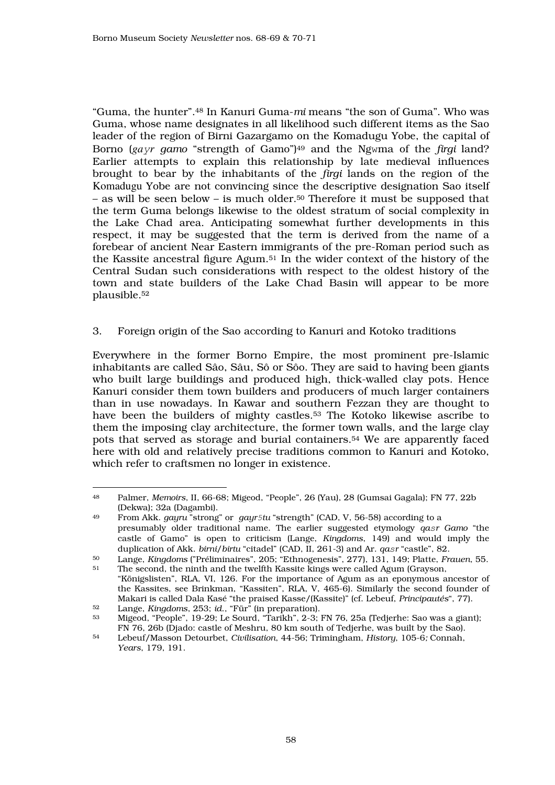"Guma, the hunter".48 In Kanuri Guma-*mi* means "the son of Guma". Who was Guma, whose name designates in all likelihood such different items as the Sao leader of the region of Birni Gazargamo on the Komadugu Yobe, the capital of Borno (*ga*y*r gamo* "strength of Gamo")49 and the Ngwma of the *firgi* land? Earlier attempts to explain this relationship by late medieval influences brought to bear by the inhabitants of the *firgi* lands on the region of the Komadugu Yobe are not convincing since the descriptive designation Sao itself – as will be seen below – is much older.<sup>50</sup> Therefore it must be supposed that the term Guma belongs likewise to the oldest stratum of social complexity in the Lake Chad area. Anticipating somewhat further developments in this respect, it may be suggested that the term is derived from the name of a forebear of ancient Near Eastern immigrants of the pre-Roman period such as the Kassite ancestral figure Agum.51 In the wider context of the history of the Central Sudan such considerations with respect to the oldest history of the town and state builders of the Lake Chad Basin will appear to be more plausible.<sup>52</sup>

3. Foreign origin of the Sao according to Kanuri and Kotoko traditions

Everywhere in the former Borno Empire, the most prominent pre-Islamic inhabitants are called Sâo, Sâu, Sô or Sôo. They are said to having been giants who built large buildings and produced high, thick-walled clay pots. Hence Kanuri consider them town builders and producers of much larger containers than in use nowadays. In Kawar and southern Fezzan they are thought to have been the builders of mighty castles.53 The Kotoko likewise ascribe to them the imposing clay architecture, the former town walls, and the large clay pots that served as storage and burial containers.54 We are apparently faced here with old and relatively precise traditions common to Kanuri and Kotoko, which refer to craftsmen no longer in existence.

 $\overline{a}$ <sup>48</sup> Palmer, *Memoirs*, II, 66-68; Migeod, "People", 26 (Yau), 28 (Gumsai Gagala); FN 77, 22b (Dekwa); 32a (Dagambi).<br><sup>49</sup> Erom Akk *gauru* "strong

<sup>49</sup> From Akk. *gayru* "strong" or *gayr*5*tu* "strength" (CAD, V, 56-58) according to a presumably older traditional name. The earlier suggested etymology *qa*s*r Gamo* "the castle of Gamo" is open to criticism (Lange, *Kingdoms*, 149) and would imply the duplication of Akk. *birni*/*birtu* "citadel" (CAD, II, 261-3) and Ar. *qa*s*r* "castle", 82.

<sup>50</sup> Lange, *Kingdoms* ("Préliminaires", 205; "Ethnogenesis", 277), 131, 149; Platte, *Frauen*, 55. The second, the ninth and the twelfth Kassite kings were called Agum (Grayson,

<sup>&</sup>quot;Königslisten", RLA, VI, 126. For the importance of Agum as an eponymous ancestor of the Kassites, see Brinkman, "Kassiten", RLA, V, 465-6). Similarly the second founder of Makari is called Dala Kasé "the praised Kasse/(Kassite)" (cf. Lebeuf, *Principautés*", 77). <sup>52</sup> Lange, *Kingdoms*, 253; *id*., "Für" (in preparation).

<sup>53</sup> Migeod, "People", 19-29; Le Sourd, "Tarikh", 2-3; FN 76, 25a (Tedjerhe: Sao was a giant); FN 76, 26b (Djado: castle of Meshru, 80 km south of Tedjerhe, was built by the Sao).<br>
Lebeut (Masson Detourbet, Civilication, 44, 56; Trimingham, History, 105, 6; Connab

<sup>54</sup> Lebeuf/Masson Detourbet, *Civilisation*, 44-56; Trimingham, *History*, 105-6*;* Connah, *Years*, 179, 191.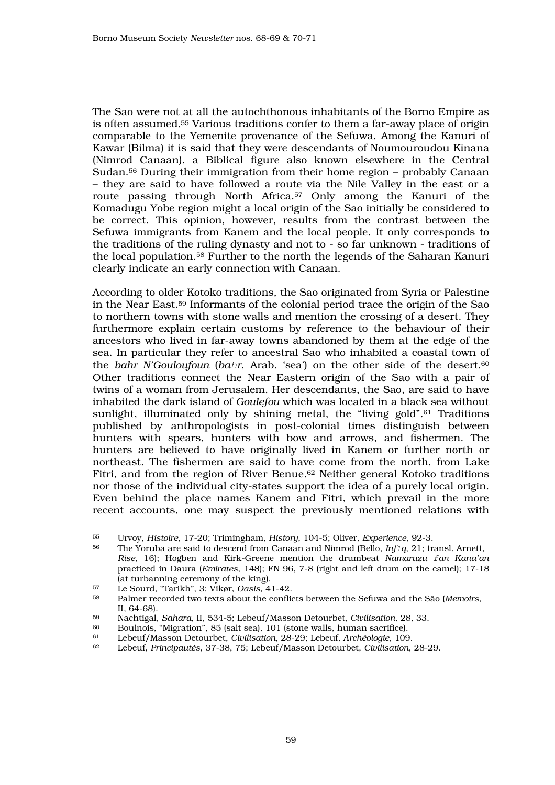The Sao were not at all the autochthonous inhabitants of the Borno Empire as is often assumed.55 Various traditions confer to them a far-away place of origin comparable to the Yemenite provenance of the Sefuwa. Among the Kanuri of Kawar (Bilma) it is said that they were descendants of Noumouroudou Kinana (Nimrod Canaan), a Biblical figure also known elsewhere in the Central Sudan.56 During their immigration from their home region – probably Canaan – they are said to have followed a route via the Nile Valley in the east or a route passing through North Africa.57 Only among the Kanuri of the Komadugu Yobe region might a local origin of the Sao initially be considered to be correct. This opinion, however, results from the contrast between the Sefuwa immigrants from Kanem and the local people. It only corresponds to the traditions of the ruling dynasty and not to - so far unknown - traditions of the local population.58 Further to the north the legends of the Saharan Kanuri clearly indicate an early connection with Canaan.

According to older Kotoko traditions, the Sao originated from Syria or Palestine in the Near East.59 Informants of the colonial period trace the origin of the Sao to northern towns with stone walls and mention the crossing of a desert. They furthermore explain certain customs by reference to the behaviour of their ancestors who lived in far-away towns abandoned by them at the edge of the sea. In particular they refer to ancestral Sao who inhabited a coastal town of the *bahr N'Gouloufoun* (*ba*h*r*, Arab. 'sea') on the other side of the desert.<sup>60</sup> Other traditions connect the Near Eastern origin of the Sao with a pair of twins of a woman from Jerusalem. Her descendants, the Sao, are said to have inhabited the dark island of *Goulefou* which was located in a black sea without sunlight, illuminated only by shining metal, the "living gold".<sup>61</sup> Traditions published by anthropologists in post-colonial times distinguish between hunters with spears, hunters with bow and arrows, and fishermen. The hunters are believed to have originally lived in Kanem or further north or northeast. The fishermen are said to have come from the north, from Lake Fitri, and from the region of River Benue.<sup>62</sup> Neither general Kotoko traditions nor those of the individual city-states support the idea of a purely local origin. Even behind the place names Kanem and Fitri, which prevail in the more recent accounts, one may suspect the previously mentioned relations with

<sup>55</sup> Urvoy, *Histoire*, 17-20; Trimingham, *History*, 104-5; Oliver, *Experience*, 92-3.

<sup>56</sup> The Yoruba are said to descend from Canaan and Nimrod (Bello, *Inf*1*q*, 21; transl. Arnett, *Rise*, 16); Hogben and Kirk-Greene mention the drumbeat *Namaruzu* f*an Kana'an*  practiced in Daura (*Emirates*, 148); FN 96, 7-8 (right and left drum on the camel); 17-18 (at turbanning ceremony of the king).

<sup>57</sup> Le Sourd, "Tarikh", 3; Vikør, *Oasis*, 41-42.

<sup>58</sup> Palmer recorded two texts about the conflicts between the Sefuwa and the Sâo (*Memoirs*,  $II, 64-68$ .

<sup>59</sup> Nachtigal, *Sahara*, II, 534-5; Lebeuf/Masson Detourbet, *Civilisation*, 28, 33.

<sup>60</sup> Boulnois, "Migration", 85 (salt sea), 101 (stone walls, human sacrifice).<br>61 I ebeut (Masson Detaurbet, *Civilisation*, 28, 20: Lebeut, Archéologie, 100

<sup>61</sup> Lebeuf/Masson Detourbet, *Civilisation*, 28-29; Lebeuf, *Archéologie*, 109.

<sup>62</sup> Lebeuf, *Principautés*, 37-38, 75; Lebeuf/Masson Detourbet, *Civilisation*, 28-29.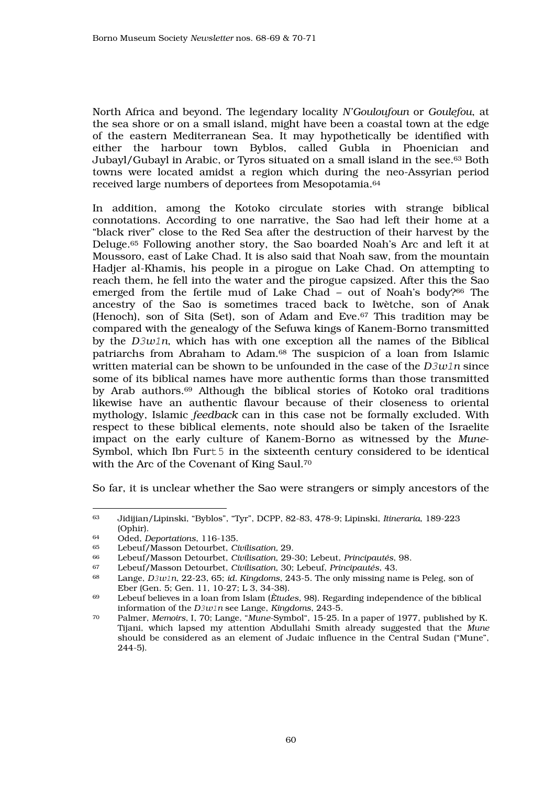North Africa and beyond. The legendary locality *N'Gouloufoun* or *Goulefou*, at the sea shore or on a small island, might have been a coastal town at the edge of the eastern Mediterranean Sea. It may hypothetically be identified with either the harbour town Byblos, called Gubla in Phoenician and Jubayl/Gubayl in Arabic, or Tyros situated on a small island in the see.63 Both towns were located amidst a region which during the neo-Assyrian period received large numbers of deportees from Mesopotamia.<sup>64</sup>

In addition, among the Kotoko circulate stories with strange biblical connotations. According to one narrative, the Sao had left their home at a "black river" close to the Red Sea after the destruction of their harvest by the Deluge.65 Following another story, the Sao boarded Noah's Arc and left it at Moussoro, east of Lake Chad. It is also said that Noah saw, from the mountain Hadjer al-Khamis, his people in a pirogue on Lake Chad. On attempting to reach them, he fell into the water and the pirogue capsized. After this the Sao emerged from the fertile mud of Lake Chad – out of Noah's body?66 The ancestry of the Sao is sometimes traced back to Iwètche, son of Anak (Henoch), son of Sita (Set), son of Adam and Eve.67 This tradition may be compared with the genealogy of the Sefuwa kings of Kanem-Borno transmitted by the *D*3*w*1*n*, which has with one exception all the names of the Biblical patriarchs from Abraham to Adam.68 The suspicion of a loan from Islamic written material can be shown to be unfounded in the case of the *D*3*w*1*n* since some of its biblical names have more authentic forms than those transmitted by Arab authors.69 Although the biblical stories of Kotoko oral traditions likewise have an authentic flavour because of their closeness to oriental mythology, Islamic *feedback* can in this case not be formally excluded. With respect to these biblical elements, note should also be taken of the Israelite impact on the early culture of Kanem-Borno as witnessed by the *Mune*-Symbol, which Ibn Furt 5 in the sixteenth century considered to be identical with the Arc of the Covenant of King Saul.<sup>70</sup>

So far, it is unclear whether the Sao were strangers or simply ancestors of the

 $\overline{a}$ <sup>63</sup> Jidijian/Lipinski, "Byblos", "Tyr", DCPP, 82-83, 478-9; Lipinski, *Itineraria*, 189-223  $(Ophi)$ .<br> $64 \qquad Oded \qquad I$ 

<sup>64</sup> Oded, *Deportations*, 116-135.

<sup>65</sup> Lebeuf/Masson Detourbet, *Civilisation,* 29.

<sup>66</sup> Lebeuf/Masson Detourbet, *Civilisation*, 29-30; Lebeut, *Principautés*, 98.

<sup>67</sup> Lebeuf/Masson Detourbet, *Civilisation*, 30; Lebeuf, *Principautés*, 43.

<sup>68</sup> Lange, *D*3*w*1*n*, 22-23, 65; *id. Kingdoms*, 243-5. The only missing name is Peleg, son of Eber (Gen. 5; Gen. 11, 10-27; L 3, 34-38).<br>
Lebeuf believes in a loan from Islam (Etud.

<sup>69</sup> Lebeuf believes in a loan from Islam (*Ètudes*, 98). Regarding independence of the biblical information of the *D*3*w*1*n* see Lange, *Kingdoms*, 243-5.

<sup>70</sup> Palmer, *Memoirs*, I, 70; Lange, "*Mune*-Symbol", 15-25. In a paper of 1977, published by K. Tijani, which lapsed my attention Abdullahi Smith already suggested that the *Mune* should be considered as an element of Judaic influence in the Central Sudan ("Mune", 244-5).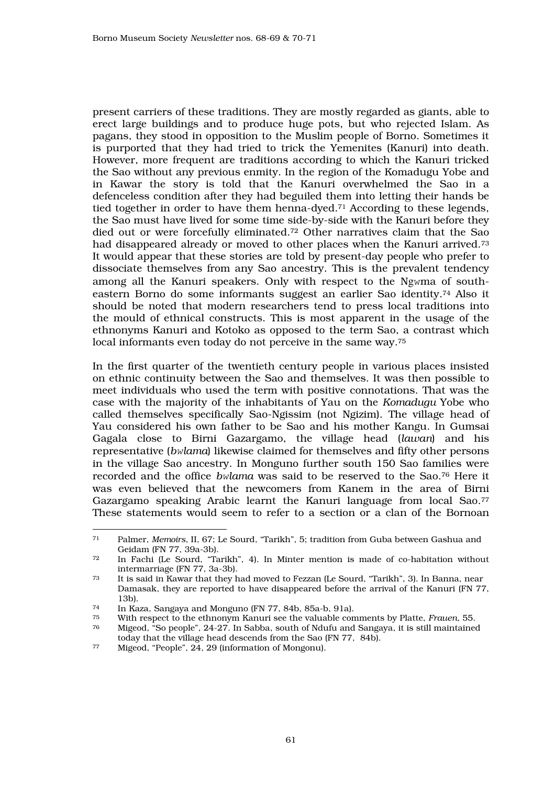present carriers of these traditions. They are mostly regarded as giants, able to erect large buildings and to produce huge pots, but who rejected Islam. As pagans, they stood in opposition to the Muslim people of Borno. Sometimes it is purported that they had tried to trick the Yemenites (Kanuri) into death. However, more frequent are traditions according to which the Kanuri tricked the Sao without any previous enmity. In the region of the Komadugu Yobe and in Kawar the story is told that the Kanuri overwhelmed the Sao in a defenceless condition after they had beguiled them into letting their hands be tied together in order to have them henna-dyed.71 According to these legends, the Sao must have lived for some time side-by-side with the Kanuri before they died out or were forcefully eliminated.72 Other narratives claim that the Sao had disappeared already or moved to other places when the Kanuri arrived.<sup>73</sup> It would appear that these stories are told by present-day people who prefer to dissociate themselves from any Sao ancestry. This is the prevalent tendency among all the Kanuri speakers. Only with respect to the Ngwma of southeastern Borno do some informants suggest an earlier Sao identity.74 Also it should be noted that modern researchers tend to press local traditions into the mould of ethnical constructs. This is most apparent in the usage of the ethnonyms Kanuri and Kotoko as opposed to the term Sao, a contrast which local informants even today do not perceive in the same way.<sup>75</sup>

In the first quarter of the twentieth century people in various places insisted on ethnic continuity between the Sao and themselves. It was then possible to meet individuals who used the term with positive connotations. That was the case with the majority of the inhabitants of Yau on the *Komadugu* Yobe who called themselves specifically Sao-Ngissim (not Ngizim). The village head of Yau considered his own father to be Sao and his mother Kangu. In Gumsai Gagala close to Birni Gazargamo, the village head (*lawan*) and his representative (*b*w*lama*) likewise claimed for themselves and fifty other persons in the village Sao ancestry. In Monguno further south 150 Sao families were recorded and the office *b*w*lama* was said to be reserved to the Sao.76 Here it was even believed that the newcomers from Kanem in the area of Birni Gazargamo speaking Arabic learnt the Kanuri language from local Sao.<sup>77</sup> These statements would seem to refer to a section or a clan of the Bornoan

 $\overline{a}$ <sup>71</sup> Palmer, *Memoirs*, II, 67; Le Sourd, "Tarikh", 5; tradition from Guba between Gashua and Geidam (FN 77, 39a-3b).<br>
T<sub>2</sub> In Fachi (Le Sourd "Ta

In Fachi (Le Sourd, "Tarikh", 4). In Minter mention is made of co-habitation without intermarriage (FN 77, 3a-3b).<br>
<sup>73</sup> It is said in Kawar that they h

It is said in Kawar that they had moved to Fezzan (Le Sourd, "Tarikh", 3). In Banna, near Damasak, they are reported to have disappeared before the arrival of the Kanuri (FN 77, 13b).

<sup>74</sup> In Kaza, Sangaya and Monguno (FN 77, 84b, 85a-b, 91a).

<sup>75</sup> With respect to the ethnonym Kanuri see the valuable comments by Platte, *Frauen*, 55. Migeod, "So people", 24-27. In Sabba, south of Ndufu and Sangaya, it is still maintained

today that the village head descends from the Sao (FN 77, 84b).<br>
Wiesed "People" 24, 29 (information of Mongonu)

Migeod, "People", 24, 29 (information of Mongonu).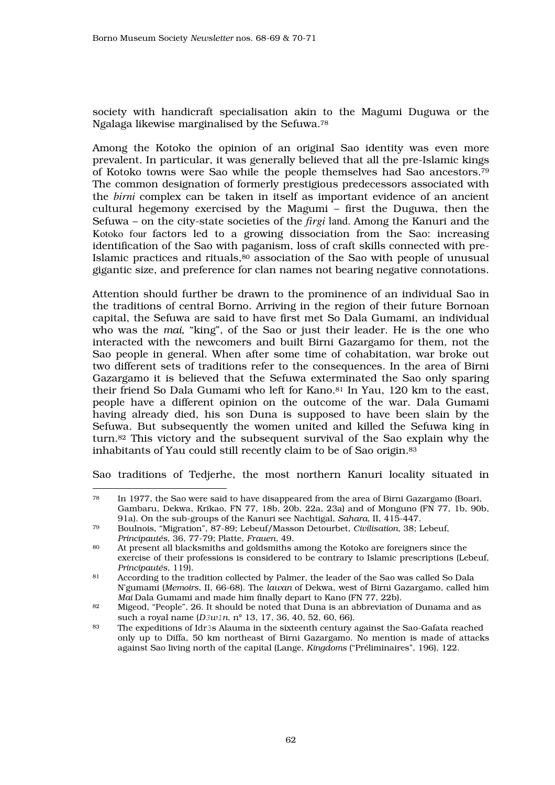society with handicraft specialisation akin to the Magumi Duguwa or the Ngalaga likewise marginalised by the Sefuwa.<sup>78</sup>

Among the Kotoko the opinion of an original Sao identity was even more prevalent. In particular, it was generally believed that all the pre-Islamic kings of Kotoko towns were Sao while the people themselves had Sao ancestors.<sup>79</sup> The common designation of formerly prestigious predecessors associated with the *birni* complex can be taken in itself as important evidence of an ancient cultural hegemony exercised by the Magumi – first the Duguwa, then the Sefuwa – on the city-state societies of the *firgi* land. Among the Kanuri and the Kotoko four factors led to a growing dissociation from the Sao: increasing identification of the Sao with paganism, loss of craft skills connected with pre-Islamic practices and rituals,80 association of the Sao with people of unusual gigantic size, and preference for clan names not bearing negative connotations.

Attention should further be drawn to the prominence of an individual Sao in the traditions of central Borno. Arriving in the region of their future Bornoan capital, the Sefuwa are said to have first met So Dala Gumami, an individual who was the *mai*, "king", of the Sao or just their leader. He is the one who interacted with the newcomers and built Birni Gazargamo for them, not the Sao people in general. When after some time of cohabitation, war broke out two different sets of traditions refer to the consequences. In the area of Birni Gazargamo it is believed that the Sefuwa exterminated the Sao only sparing their friend So Dala Gumami who left for Kano.81 In Yau, 120 km to the east, people have a different opinion on the outcome of the war. Dala Gumami having already died, his son Duna is supposed to have been slain by the Sefuwa. But subsequently the women united and killed the Sefuwa king in turn.82 This victory and the subsequent survival of the Sao explain why the inhabitants of Yau could still recently claim to be of Sao origin.<sup>83</sup>

Sao traditions of Tedjerhe, the most northern Kanuri locality situated in

 $\overline{a}$ <sup>78</sup> In 1977, the Sao were said to have disappeared from the area of Birni Gazargamo (Boari, Gambaru, Dekwa, Krikao, FN 77, 18b, 20b, 22a, 23a) and of Monguno (FN 77, 1b, 90b, 91a). On the sub-groups of the Kanuri see Nachtigal, *Sahara*, II, 415-447.

<sup>79</sup> Boulnois, "Migration", 87-89; Lebeuf/Masson Detourbet, *Civilisation*, 38; Lebeuf, *Principautés*, 36, 77-79; Platte, *Frauen*, 49.

<sup>80</sup> At present all blacksmiths and goldsmiths among the Kotoko are foreigners since the exercise of their professions is considered to be contrary to Islamic prescriptions (Lebeuf, *Principautés*, 119).

<sup>81</sup> According to the tradition collected by Palmer, the leader of the Sao was called So Dala N'gumami (*Memoirs*, II, 66-68). The *lawan* of Dekwa, west of Birni Gazargamo, called him *Mai* Dala Gumami and made him finally depart to Kano (FN 77, 22b).

<sup>82</sup> Migeod, "People", 26. It should be noted that Duna is an abbreviation of Dunama and as such a royal name  $(D3w1n, n^{\circ} 13, 17, 36, 40, 52, 60, 66)$ .<br><sup>83</sup> The expeditions of  $\text{Id}r2s$  Alauma in the sixteenth century of

<sup>83</sup> The expeditions of Idr3s Alauma in the sixteenth century against the Sao-Gafata reached only up to Diffa, 50 km northeast of Birni Gazargamo. No mention is made of attacks against Sao living north of the capital (Lange, *Kingdoms* ("Préliminaires", 196), 122.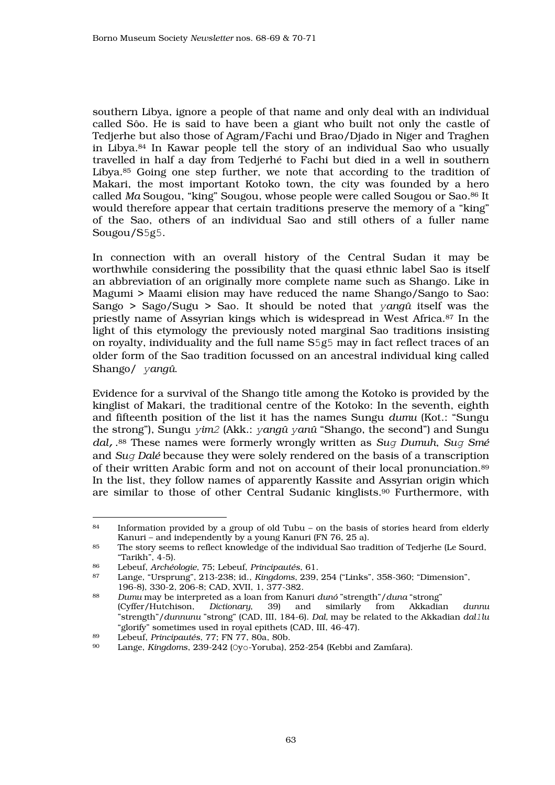southern Libya, ignore a people of that name and only deal with an individual called Sôo. He is said to have been a giant who built not only the castle of Tedjerhe but also those of Agram/Fachi und Brao/Djado in Niger and Traghen in Libya.84 In Kawar people tell the story of an individual Sao who usually travelled in half a day from Tedjerhé to Fachi but died in a well in southern Libya.<sup>85</sup> Going one step further, we note that according to the tradition of Makari, the most important Kotoko town, the city was founded by a hero called *Ma* Sougou, "king" Sougou, whose people were called Sougou or Sao.86 It would therefore appear that certain traditions preserve the memory of a "king" of the Sao, others of an individual Sao and still others of a fuller name Sougou/S5g5.

In connection with an overall history of the Central Sudan it may be worthwhile considering the possibility that the quasi ethnic label Sao is itself an abbreviation of an originally more complete name such as Shango. Like in Magumi > Maami elision may have reduced the name Shango/Sango to Sao: Sango > Sago/Sugu > Sao. It should be noted that y*angû* itself was the priestly name of Assyrian kings which is widespread in West Africa.87 In the light of this etymology the previously noted marginal Sao traditions insisting on royalty, individuality and the full name S5g5 may in fact reflect traces of an older form of the Sao tradition focussed on an ancestral individual king called Shango/ y*angû*.

Evidence for a survival of the Shango title among the Kotoko is provided by the kinglist of Makari, the traditional centre of the Kotoko: In the seventh, eighth and fifteenth position of the list it has the names Sungu *dumu* (Kot.: "Sungu the strong"), Sungu y*im*2 (Akk.: y*angû* y*anû* "Shango, the second") and Sungu *dal*,. <sup>88</sup> These names were formerly wrongly written as *Su*g *Dumuh*, *Su*g *Smé* and *Su*g *Dalé* because they were solely rendered on the basis of a transcription of their written Arabic form and not on account of their local pronunciation.<sup>89</sup> In the list, they follow names of apparently Kassite and Assyrian origin which are similar to those of other Central Sudanic kinglists.90 Furthermore, with

 $\overline{a}$ <sup>84</sup> Information provided by a group of old Tubu – on the basis of stories heard from elderly Kanuri – and independently by a young Kanuri (FN 76, 25 a).

<sup>85</sup> The story seems to reflect knowledge of the individual Sao tradition of Tedjerhe (Le Sourd, "Tarikh", 4-5).<br> $^{86}$  Lebeuf *Archée* 

<sup>86</sup> Lebeuf, *Archéologie*, 75; Lebeuf, *Principautés*, 61.

<sup>87</sup> Lange, "Ursprung", 213-238; id., *Kingdoms*, 239, 254 ("Links", 358-360; "Dimension", 196-8), 330-2, 206-8; CAD, XVII, 1, 377-382.<br><sup>88</sup> Dumu may be interpreted as a loan from Kany

<sup>88</sup> *Dumu* may be interpreted as a loan from Kanuri *dunó* "strength"/*duna* "strong" (Cyffer/Hutchison, *Dictionary*, 39) and similarly from Akkadian *dunnu* "strength"/*dunnunu* "strong" (CAD, III, 184-6). *Dal,* may be related to the Akkadian *dal*1*lu*  "glorify" sometimes used in royal epithets (CAD, III, 46-47).

<sup>89</sup> Lebeuf, *Principautés*, 77; FN 77, 80a, 80b.

Lange, *Kingdoms*, 239-242 (Oyo-Yoruba), 252-254 (Kebbi and Zamfara).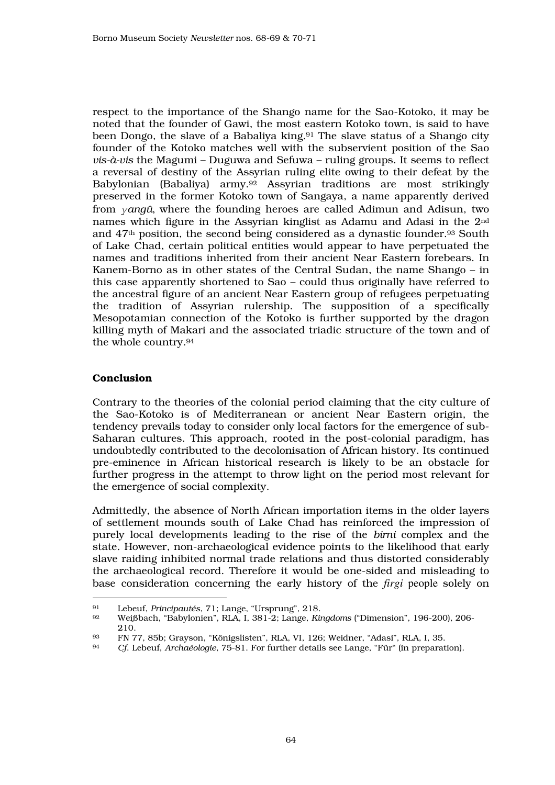respect to the importance of the Shango name for the Sao-Kotoko, it may be noted that the founder of Gawi, the most eastern Kotoko town, is said to have been Dongo, the slave of a Babaliya king.<sup>91</sup> The slave status of a Shango city founder of the Kotoko matches well with the subservient position of the Sao *vis-à-vis* the Magumi – Duguwa and Sefuwa – ruling groups. It seems to reflect a reversal of destiny of the Assyrian ruling elite owing to their defeat by the Babylonian (Babaliya) army.92 Assyrian traditions are most strikingly preserved in the former Kotoko town of Sangaya, a name apparently derived from y*angû*, where the founding heroes are called Adimun and Adisun, two names which figure in the Assyrian kinglist as Adamu and Adasi in the 2nd and 47th position, the second being considered as a dynastic founder.93 South of Lake Chad, certain political entities would appear to have perpetuated the names and traditions inherited from their ancient Near Eastern forebears. In Kanem-Borno as in other states of the Central Sudan, the name Shango – in this case apparently shortened to Sao – could thus originally have referred to the ancestral figure of an ancient Near Eastern group of refugees perpetuating the tradition of Assyrian rulership. The supposition of a specifically Mesopotamian connection of the Kotoko is further supported by the dragon killing myth of Makari and the associated triadic structure of the town and of the whole country.<sup>94</sup>

## Conclusion

Contrary to the theories of the colonial period claiming that the city culture of the Sao-Kotoko is of Mediterranean or ancient Near Eastern origin, the tendency prevails today to consider only local factors for the emergence of sub-Saharan cultures. This approach, rooted in the post-colonial paradigm, has undoubtedly contributed to the decolonisation of African history. Its continued pre-eminence in African historical research is likely to be an obstacle for further progress in the attempt to throw light on the period most relevant for the emergence of social complexity.

Admittedly, the absence of North African importation items in the older layers of settlement mounds south of Lake Chad has reinforced the impression of purely local developments leading to the rise of the *birni* complex and the state. However, non-archaeological evidence points to the likelihood that early slave raiding inhibited normal trade relations and thus distorted considerably the archaeological record. Therefore it would be one-sided and misleading to base consideration concerning the early history of the *firgi* people solely on

<sup>91</sup> <sup>91</sup> Lebeuf, *Principautés*, 71; Lange, "Ursprung", 218.

<sup>92</sup> Weißbach, "Babylonien", RLA, I, 381-2; Lange, *Kingdoms* ("Dimension", 196-200), 206-  $\frac{210}{93}$ 

 $^{93}$  FN 77, 85b; Grayson, "Königslisten", RLA, VI, 126; Weidner, "Adasi", RLA, I, 35.<br> $^{94}$  Cf Lebeuf, Archaéologie, 75, 81. For further details see Lange, "Für" (in preparat

<sup>94</sup> *Cf*. Lebeuf, *Archaéologie*, 75-81. For further details see Lange, "Für" (in preparation).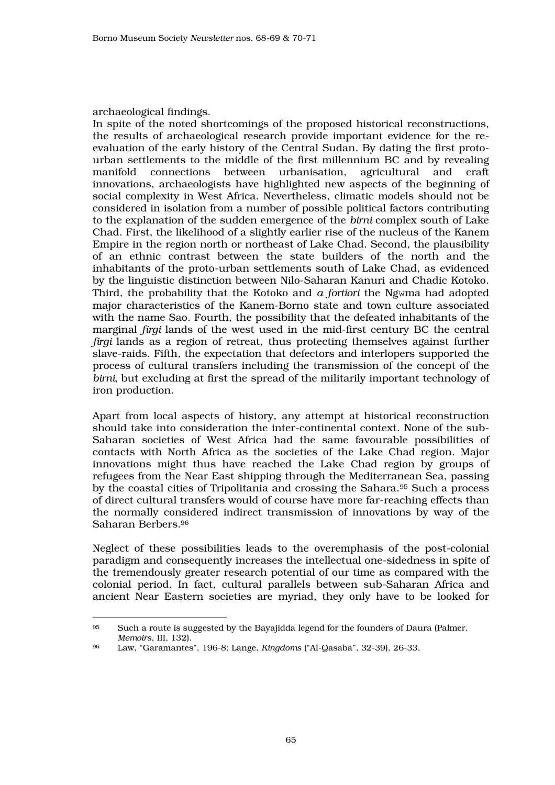## archaeological findings.

 $\overline{a}$ 

In spite of the noted shortcomings of the proposed historical reconstructions, the results of archaeological research provide important evidence for the reevaluation of the early history of the Central Sudan. By dating the first protourban settlements to the middle of the first millennium BC and by revealing manifold connections between urbanisation, agricultural and craft innovations, archaeologists have highlighted new aspects of the beginning of social complexity in West Africa. Nevertheless, climatic models should not be considered in isolation from a number of possible political factors contributing to the explanation of the sudden emergence of the *birni* complex south of Lake Chad. First, the likelihood of a slightly earlier rise of the nucleus of the Kanem Empire in the region north or northeast of Lake Chad. Second, the plausibility of an ethnic contrast between the state builders of the north and the inhabitants of the proto-urban settlements south of Lake Chad, as evidenced by the linguistic distinction between Nilo-Saharan Kanuri and Chadic Kotoko. Third, the probability that the Kotoko and *a fortiori* the Ngwma had adopted major characteristics of the Kanem-Borno state and town culture associated with the name Sao. Fourth, the possibility that the defeated inhabitants of the marginal *firgi* lands of the west used in the mid-first century BC the central *firgi* lands as a region of retreat, thus protecting themselves against further slave-raids. Fifth, the expectation that defectors and interlopers supported the process of cultural transfers including the transmission of the concept of the *birni*, but excluding at first the spread of the militarily important technology of iron production.

Apart from local aspects of history, any attempt at historical reconstruction should take into consideration the inter-continental context. None of the sub-Saharan societies of West Africa had the same favourable possibilities of contacts with North Africa as the societies of the Lake Chad region. Major innovations might thus have reached the Lake Chad region by groups of refugees from the Near East shipping through the Mediterranean Sea, passing by the coastal cities of Tripolitania and crossing the Sahara.<sup>95</sup> Such a process of direct cultural transfers would of course have more far-reaching effects than the normally considered indirect transmission of innovations by way of the Saharan Berbers.<sup>96</sup>

Neglect of these possibilities leads to the overemphasis of the post-colonial paradigm and consequently increases the intellectual one-sidedness in spite of the tremendously greater research potential of our time as compared with the colonial period. In fact, cultural parallels between sub-Saharan Africa and ancient Near Eastern societies are myriad, they only have to be looked for

<sup>95</sup> Such a route is suggested by the Bayajidda legend for the founders of Daura (Palmer, *Memoirs*, III, 132).

<sup>96</sup> Law, "Garamantes", 196-8; Lange, *Kingdoms* ("Al-Qasaba", 32-39), 26-33.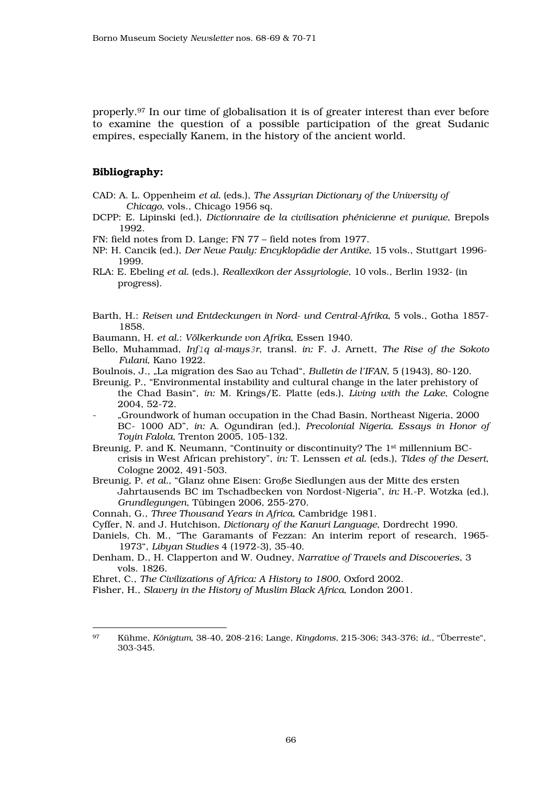properly.97 In our time of globalisation it is of greater interest than ever before to examine the question of a possible participation of the great Sudanic empires, especially Kanem, in the history of the ancient world.

#### Bibliography:

- CAD: A. L. Oppenheim *et al.* (eds.), *The Assyrian Dictionary of the University of Chicago*, vols., Chicago 1956 sq.
- DCPP: E. Lipinski (ed.), *Dictionnaire de la civilisation phénicienne et punique*, Brepols 1992.
- FN: field notes from D. Lange; FN 77 field notes from 1977.
- NP: H. Cancik (ed.), *Der Neue Pauly: Encyklopädie der Antike*, 15 vols., Stuttgart 1996- 1999.
- RLA: E. Ebeling *et al.* (eds.), *Reallexikon der Assyriologie*, 10 vols., Berlin 1932- (in progress).
- Barth, H.: *Reisen und Entdeckungen in Nord- und Central-Afrika*, 5 vols., Gotha 1857- 1858.
- Baumann, H. *et al.*: *Völkerkunde von Afrika*, Essen 1940.
- Bello, Muhammad, *Inf*1*q al-mays*3*r*, transl. *in:* F. J. Arnett, *The Rise of the Sokoto Fulani*, Kano 1922.
- Boulnois, J., "La migration des Sao au Tchad", *Bulletin de l'IFAN*, 5 (1943), 80-120.
- Breunig, P., "Environmental instability and cultural change in the later prehistory of the Chad Basin", *in:* M. Krings/E. Platte (eds.), *Living with the Lake*, Cologne 2004, 52-72.
- "Groundwork of human occupation in the Chad Basin, Northeast Nigeria, 2000 BC- 1000 AD", *in:* A. Ogundiran (ed.), *Precolonial Nigeria. Essays in Honor of Toyin Falola*, Trenton 2005, 105-132.
- Breunig, P. and K. Neumann, "Continuity or discontinuity? The 1st millennium BCcrisis in West African prehistory", *in:* T. Lenssen *et al.* (eds.), *Tides of the Desert*, Cologne 2002, 491-503.
- Breunig, P. *et al.*, "Glanz ohne Eisen: Große Siedlungen aus der Mitte des ersten Jahrtausends BC im Tschadbecken von Nordost-Nigeria", *in:* H.-P. Wotzka (ed.), *Grundlegungen*, Tübingen 2006, 255-270.
- Connah, G., *Three Thousand Years in Africa*, Cambridge 1981.
- Cyffer, N. and J. Hutchison, *Dictionary of the Kanuri Language*, Dordrecht 1990.
- Daniels, Ch. M., "The Garamants of Fezzan: An interim report of research, 1965- 1973", *Libyan Studies* 4 (1972-3), 35-40.
- Denham, D., H. Clapperton and W. Oudney, *Narrative of Travels and Discoveries*, 3 vols. 1826.
- Ehret, C., *The Civilizations of Africa: A History to 1800*, Oxford 2002.
- Fisher, H., *Slavery in the History of Muslim Black Africa*, London 2001.

<sup>97</sup> Kühme, *Königtum*, 38-40, 208-216; Lange, *Kingdoms*, 215-306; 343-376; *id*., "Überreste", 303-345.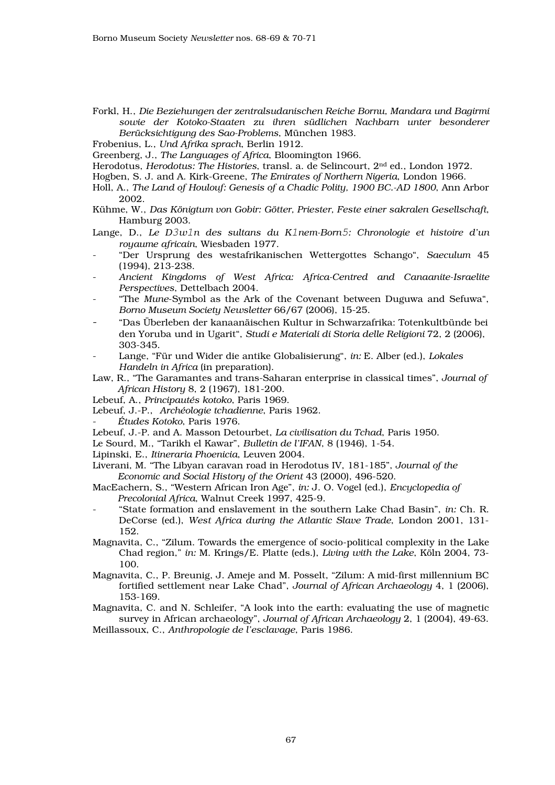- Forkl, H., *Die Beziehungen der zentralsudanischen Reiche Bornu, Mandara und Bagirmi sowie der Kotoko-Staaten zu ihren südlichen Nachbarn unter besonderer Berücksichtigung des Sao-Problems*, München 1983.
- Frobenius, L., *Und Afrika sprach*, Berlin 1912.
- Greenberg, J., *The Languages of Africa*, Bloomington 1966.
- Herodotus, *Herodotus: The Histories*, transl. a. de Selincourt, 2nd ed., London 1972.
- Hogben, S. J. and A. Kirk-Greene, *The Emirates of Northern Nigeria*, London 1966.
- Holl, A., *The Land of Houlouf: Genesis of a Chadic Polity, 1900 BC.-AD 1800*, Ann Arbor 2002.
- Kühme, W., *Das Königtum von Gobir: Götter, Priester, Feste einer sakralen Gesellschaft*, Hamburg 2003.
- Lange, D., *Le D*3*w*1*n des sultans du K*1*nem-Born*5*: Chronologie et histoire d'un royaume africain*, Wiesbaden 1977.
- "Der Ursprung des westafrikanischen Wettergottes Schango", *Saeculum* 45 (1994), 213-238.
- *Ancient Kingdoms of West Africa: Africa-Centred and Canaanite-Israelite Perspectives*, Dettelbach 2004.
- "The *Mune*-Symbol as the Ark of the Covenant between Duguwa and Sefuwa", *Borno Museum Society Newsletter* 66/67 (2006), 15-25.
- "Das Überleben der kanaanäischen Kultur in Schwarzafrika: Totenkultbünde bei den Yoruba und in Ugarit", *Studi e Materiali di Storia delle Religioni* 72, 2 (2006), 303-345.
- Lange, "Für und Wider die antike Globalisierung", *in:* E. Alber (ed.), *Lokales Handeln in Africa* (in preparation).
- Law, R., "The Garamantes and trans-Saharan enterprise in classical times", *Journal of African History* 8, 2 (1967), 181-200.
- Lebeuf, A., *Principautés kotoko*, Paris 1969.
- Lebeuf, J.-P., *Archéologie tchadienne*, Paris 1962.
- *Études Kotoko*, Paris 1976.
- Lebeuf, J.-P. and A. Masson Detourbet, *La civilisation du Tchad*, Paris 1950.
- Le Sourd, M., "Tarikh el Kawar", *Bulletin de l'IFAN*, 8 (1946), 1-54.
- Lipinski, E., *Itineraria Phoenicia*, Leuven 2004.
- Liverani, M. "The Libyan caravan road in Herodotus IV, 181-185", *Journal of the Economic and Social History of the Orient* 43 (2000), 496-520.
- MacEachern, S., "Western African Iron Age", *in:* J. O. Vogel (ed.), *Encyclopedia of Precolonial Africa*, Walnut Creek 1997, 425-9.
- "State formation and enslavement in the southern Lake Chad Basin", *in:* Ch. R. DeCorse (ed.), *West Africa during the Atlantic Slave Trade*, London 2001, 131- 152.
- Magnavita, C., "Zilum. Towards the emergence of socio-political complexity in the Lake Chad region," *in:* M. Krings/E. Platte (eds.), *Living with the Lake*, Köln 2004, 73- 100.
- Magnavita, C., P. Breunig, J. Ameje and M. Posselt, "Zilum: A mid-first millennium BC fortified settlement near Lake Chad", *Journal of African Archaeology* 4, 1 (2006), 153-169.
- Magnavita, C. and N. Schleifer, "A look into the earth: evaluating the use of magnetic survey in African archaeology", *Journal of African Archaeology* 2, 1 (2004), 49-63.
- Meillassoux, C., *Anthropologie de l'esclavage*, Paris 1986.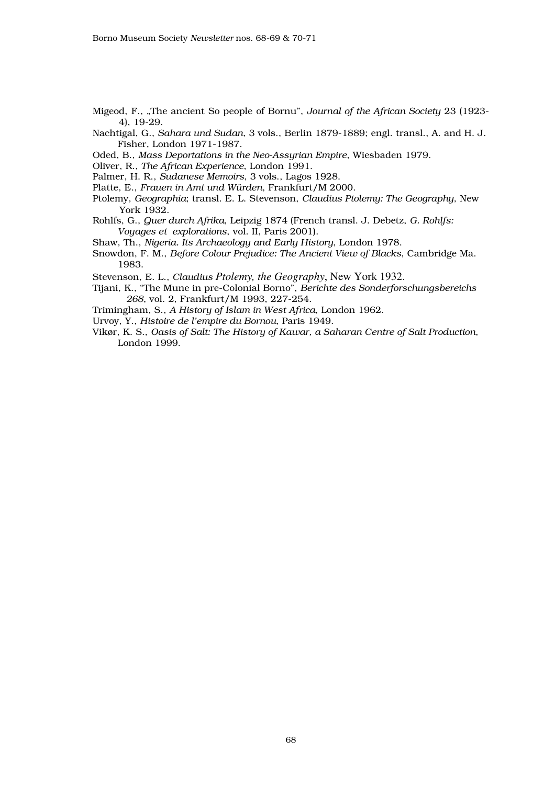- Migeod, F., "The ancient So people of Bornu", *Journal of the African Society* 23 (1923- 4), 19-29.
- Nachtigal, G., *Sahara und Sudan*, 3 vols., Berlin 1879-1889; engl. transl., A. and H. J. Fisher, London 1971-1987.
- Oded, B., *Mass Deportations in the Neo-Assyrian Empire*, Wiesbaden 1979.
- Oliver, R., *The African Experience*, London 1991.
- Palmer, H. R., *Sudanese Memoirs*, 3 vols., Lagos 1928.
- Platte, E., *Frauen in Amt und Würden*, Frankfurt/M 2000.
- Ptolemy, *Geographia*; transl. E. L. Stevenson, *Claudius Ptolemy: The Geography*, New York 1932.
- Rohlfs, G., *Quer durch Afrika*, Leipzig 1874 (French transl. J. Debetz, *G. Rohlfs: Voyages et explorations*, vol. II, Paris 2001).
- Shaw, Th., *Nigeria. Its Archaeology and Early History*, London 1978.
- Snowdon, F. M., *Before Colour Prejudice: The Ancient View of Blacks*, Cambridge Ma. 1983.
- Stevenson, E. L., *Claudius Ptolemy, the Geography*, New York 1932.
- Tijani, K., "The Mune in pre-Colonial Borno", *Berichte des Sonderforschungsbereichs 268*, vol. 2, Frankfurt/M 1993, 227-254.
- Trimingham, S., *A History of Islam in West Africa*, London 1962.
- Urvoy, Y., *Histoire de l'empire du Bornou*, Paris 1949.
- Vikør, K. S., *Oasis of Salt: The History of Kawar, a Saharan Centre of Salt Production*, London 1999.